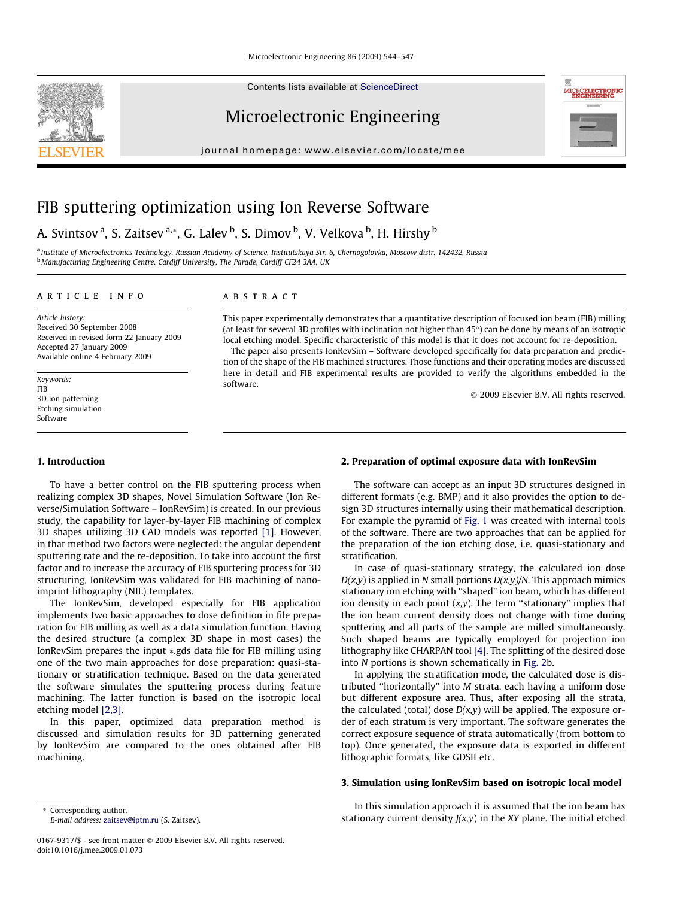Contents lists available at [ScienceDirect](http://www.sciencedirect.com/science/journal/01679317)

# Microelectronic Engineering

journal homepage: [www.elsevier.com/locate/mee](http://www.elsevier.com/locate/mee)



# A. Svintsov <sup>a</sup>, S. Zaitsev <sup>a,</sup>\*, G. Lalev <sup>b</sup>, S. Dimov <sup>b</sup>, V. Velkova <sup>b</sup>, H. Hirshy <sup>b</sup>

a Institute of Microelectronics Technology, Russian Academy of Science, Institutskaya Str. 6, Chernogolovka, Moscow distr. 142432. Russia b Manufacturing Engineering Centre, Cardiff University, The Parade, Cardiff CF24 3AA, UK

#### article info

# **ABSTRACT**

Article history: Received 30 September 2008 Received in revised form 22 January 2009 Accepted 27 January 2009 Available online 4 February 2009

Keywords: FIB 3D ion patterning Etching simulation Software

This paper experimentally demonstrates that a quantitative description of focused ion beam (FIB) milling (at least for several 3D profiles with inclination not higher than 45°) can be done by means of an isotropic local etching model. Specific characteristic of this model is that it does not account for re-deposition.

The paper also presents IonRevSim – Software developed specifically for data preparation and prediction of the shape of the FIB machined structures. Those functions and their operating modes are discussed here in detail and FIB experimental results are provided to verify the algorithms embedded in the software.

2009 Elsevier B.V. All rights reserved.

#### 1. Introduction

To have a better control on the FIB sputtering process when realizing complex 3D shapes, Novel Simulation Software (Ion Reverse/Simulation Software – IonRevSim) is created. In our previous study, the capability for layer-by-layer FIB machining of complex 3D shapes utilizing 3D CAD models was reported [\[1\]](#page-3-0). However, in that method two factors were neglected: the angular dependent sputtering rate and the re-deposition. To take into account the first factor and to increase the accuracy of FIB sputtering process for 3D structuring, IonRevSim was validated for FIB machining of nanoimprint lithography (NIL) templates.

The IonRevSim, developed especially for FIB application implements two basic approaches to dose definition in file preparation for FIB milling as well as a data simulation function. Having the desired structure (a complex 3D shape in most cases) the IonRevSim prepares the input  $\ast$ .gds data file for FIB milling using one of the two main approaches for dose preparation: quasi-stationary or stratification technique. Based on the data generated the software simulates the sputtering process during feature machining. The latter function is based on the isotropic local etching model [\[2,3\]](#page-3-0).

In this paper, optimized data preparation method is discussed and simulation results for 3D patterning generated by IonRevSim are compared to the ones obtained after FIB machining.

# 2. Preparation of optimal exposure data with IonRevSim

The software can accept as an input 3D structures designed in different formats (e.g. BMP) and it also provides the option to design 3D structures internally using their mathematical description. For example the pyramid of [Fig. 1](#page-1-0) was created with internal tools of the software. There are two approaches that can be applied for the preparation of the ion etching dose, i.e. quasi-stationary and stratification.

In case of quasi-stationary strategy, the calculated ion dose  $D(x,y)$  is applied in N small portions  $D(x,y)/N$ . This approach mimics stationary ion etching with ''shaped" ion beam, which has different ion density in each point  $(x,y)$ . The term "stationary" implies that the ion beam current density does not change with time during sputtering and all parts of the sample are milled simultaneously. Such shaped beams are typically employed for projection ion lithography like CHARPAN tool [\[4\].](#page-3-0) The splitting of the desired dose into N portions is shown schematically in [Fig. 2](#page-1-0)b.

In applying the stratification mode, the calculated dose is distributed ''horizontally" into M strata, each having a uniform dose but different exposure area. Thus, after exposing all the strata, the calculated (total) dose  $D(x,y)$  will be applied. The exposure order of each stratum is very important. The software generates the correct exposure sequence of strata automatically (from bottom to top). Once generated, the exposure data is exported in different lithographic formats, like GDSII etc.

#### 3. Simulation using IonRevSim based on isotropic local model

In this simulation approach it is assumed that the ion beam has stationary current density  $J(x,y)$  in the XY plane. The initial etched

E-mail address: [zaitsev@iptm.ru](mailto:zaitsev@iptm.ru) (S. Zaitsev).

\* Corresponding author.

<sup>0167-9317/\$ -</sup> see front matter 2009 Elsevier B.V. All rights reserved. doi:10.1016/j.mee.2009.01.073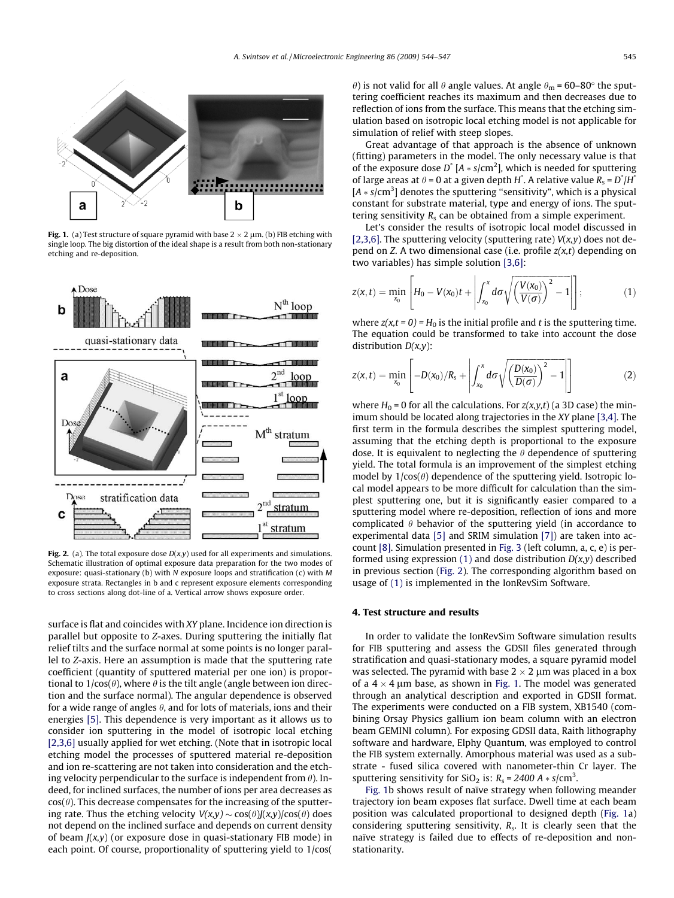<span id="page-1-0"></span>

Fig. 1. (a) Test structure of square pyramid with base  $2 \times 2 \mu m$ . (b) FIB etching with single loop. The big distortion of the ideal shape is a result from both non-stationary etching and re-deposition.



Fig. 2. (a). The total exposure dose  $D(x,y)$  used for all experiments and simulations. Schematic illustration of optimal exposure data preparation for the two modes of exposure: quasi-stationary (b) with N exposure loops and stratification (c) with M exposure strata. Rectangles in b and c represent exposure elements corresponding to cross sections along dot-line of a. Vertical arrow shows exposure order.

surface is flat and coincides with XY plane. Incidence ion direction is parallel but opposite to Z-axes. During sputtering the initially flat relief tilts and the surface normal at some points is no longer parallel to Z-axis. Here an assumption is made that the sputtering rate coefficient (quantity of sputtered material per one ion) is proportional to  $1/cos(\theta)$ , where  $\theta$  is the tilt angle (angle between ion direction and the surface normal). The angular dependence is observed for a wide range of angles  $\theta$ , and for lots of materials, ions and their energies [\[5\].](#page-3-0) This dependence is very important as it allows us to consider ion sputtering in the model of isotropic local etching [\[2,3,6\]](#page-3-0) usually applied for wet etching. (Note that in isotropic local etching model the processes of sputtered material re-deposition and ion re-scattering are not taken into consideration and the etching velocity perpendicular to the surface is independent from  $\theta$ ). Indeed, for inclined surfaces, the number of ions per area decreases as  $cos(\theta)$ . This decrease compensates for the increasing of the sputtering rate. Thus the etching velocity  $V(x,y) \sim cos(\theta)J(x,y)/cos(\theta)$  does not depend on the inclined surface and depends on current density of beam  $J(x,y)$  (or exposure dose in quasi-stationary FIB mode) in each point. Of course, proportionality of sputtering yield to 1/cos(

 $\theta$ ) is not valid for all  $\theta$  angle values. At angle  $\theta_{\rm m}$  = 60–80° the sputtering coefficient reaches its maximum and then decreases due to reflection of ions from the surface. This means that the etching simulation based on isotropic local etching model is not applicable for simulation of relief with steep slopes.

Great advantage of that approach is the absence of unknown (fitting) parameters in the model. The only necessary value is that of the exposure dose  $D^*$  [A  $*$  s/cm<sup>2</sup>], which is needed for sputtering of large areas at  $\theta$  = 0 at a given depth H<sup>\*</sup>. A relative value  $R_s = D^* / H^*$  $[A * s/cm<sup>3</sup>]$  denotes the sputtering "sensitivity", which is a physical constant for substrate material, type and energy of ions. The sputtering sensitivity  $R_s$  can be obtained from a simple experiment.

Let's consider the results of isotropic local model discussed in [\[2,3,6\].](#page-3-0) The sputtering velocity (sputtering rate)  $V(x,y)$  does not depend on Z. A two dimensional case (i.e. profile  $z(x,t)$  depending on two variables) has simple solution [\[3,6\]](#page-3-0):

$$
z(x,t) = \min_{x_0} \left[ H_0 - V(x_0)t + \left| \int_{x_0}^x d\sigma \sqrt{\left( \frac{V(x_0)}{V(\sigma)} \right)^2 - 1} \right| \right];
$$
 (1)

where  $z(x,t = 0) = H_0$  is the initial profile and t is the sputtering time. The equation could be transformed to take into account the dose distribution  $D(x,y)$ :

$$
z(x,t) = \min_{x_0} \left[ -D(x_0)/R_s + \left| \int_{x_0}^x d\sigma \sqrt{\left(\frac{D(x_0)}{D(\sigma)}\right)^2 - 1} \right| \right]
$$
(2)

where  $H_0 = 0$  for all the calculations. For  $z(x, y, t)$  (a 3D case) the minimum should be located along trajectories in the XY plane [\[3,4\].](#page-3-0) The first term in the formula describes the simplest sputtering model, assuming that the etching depth is proportional to the exposure dose. It is equivalent to neglecting the  $\theta$  dependence of sputtering yield. The total formula is an improvement of the simplest etching model by  $1/cos(\theta)$  dependence of the sputtering yield. Isotropic local model appears to be more difficult for calculation than the simplest sputtering one, but it is significantly easier compared to a sputtering model where re-deposition, reflection of ions and more complicated  $\theta$  behavior of the sputtering yield (in accordance to experimental data [\[5\]](#page-3-0) and SRIM simulation [\[7\]](#page-3-0)) are taken into account [\[8\]](#page-3-0). Simulation presented in [Fig. 3](#page-2-0) (left column, a, c, e) is performed using expression (1) and dose distribution  $D(x, y)$  described in previous section (Fig. 2). The corresponding algorithm based on usage of (1) is implemented in the IonRevSim Software.

#### 4. Test structure and results

In order to validate the IonRevSim Software simulation results for FIB sputtering and assess the GDSII files generated through stratification and quasi-stationary modes, a square pyramid model was selected. The pyramid with base  $2 \times 2 \mu$ m was placed in a box of a  $4 \times 4$  µm base, as shown in Fig. 1. The model was generated through an analytical description and exported in GDSII format. The experiments were conducted on a FIB system, XB1540 (combining Orsay Physics gallium ion beam column with an electron beam GEMINI column). For exposing GDSII data, Raith lithography software and hardware, Elphy Quantum, was employed to control the FIB system externally. Amorphous material was used as a substrate - fused silica covered with nanometer-thin Cr layer. The sputtering sensitivity for SiO<sub>2</sub> is:  $R_s = 2400 \text{ A} * s/\text{cm}^3$ .

Fig. 1b shows result of naïve strategy when following meander trajectory ion beam exposes flat surface. Dwell time at each beam position was calculated proportional to designed depth (Fig. 1a) considering sputtering sensitivity,  $R_s$ . It is clearly seen that the naïve strategy is failed due to effects of re-deposition and nonstationarity.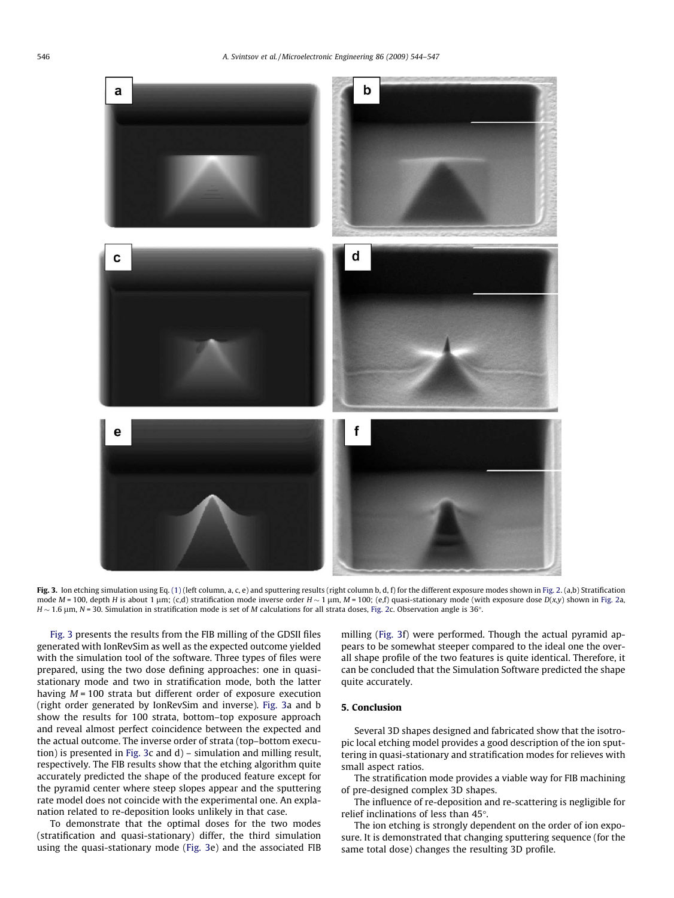<span id="page-2-0"></span>

Fig. 3. Ion etching simulation using Eq. [\(1\)](#page-1-0) (left column, a, c, e) and sputtering results (right column b, d, f) for the different exposure modes shown in [Fig. 2.](#page-1-0) (a,b) Stratification mode  $M = 100$ , depth H is about 1 µm; (c,d) stratification mode inverse order  $H \sim 1$  µm,  $M = 100$ ; (e,f) quasi-stationary mode (with exposure dose  $D(x,y)$  shown in [Fig. 2a](#page-1-0), H  $\sim$  1.6 µm, N = 30. Simulation in stratification mode is set of M calculations for all strata doses, [Fig. 2](#page-1-0)c. Observation angle is 36°.

Fig. 3 presents the results from the FIB milling of the GDSII files generated with IonRevSim as well as the expected outcome yielded with the simulation tool of the software. Three types of files were prepared, using the two dose defining approaches: one in quasistationary mode and two in stratification mode, both the latter having  $M = 100$  strata but different order of exposure execution (right order generated by IonRevSim and inverse). Fig. 3a and b show the results for 100 strata, bottom–top exposure approach and reveal almost perfect coincidence between the expected and the actual outcome. The inverse order of strata (top–bottom execution) is presented in Fig. 3c and d) – simulation and milling result, respectively. The FIB results show that the etching algorithm quite accurately predicted the shape of the produced feature except for the pyramid center where steep slopes appear and the sputtering rate model does not coincide with the experimental one. An explanation related to re-deposition looks unlikely in that case.

To demonstrate that the optimal doses for the two modes (stratification and quasi-stationary) differ, the third simulation using the quasi-stationary mode (Fig. 3e) and the associated FIB milling (Fig. 3f) were performed. Though the actual pyramid appears to be somewhat steeper compared to the ideal one the overall shape profile of the two features is quite identical. Therefore, it can be concluded that the Simulation Software predicted the shape quite accurately.

## 5. Conclusion

Several 3D shapes designed and fabricated show that the isotropic local etching model provides a good description of the ion sputtering in quasi-stationary and stratification modes for relieves with small aspect ratios.

The stratification mode provides a viable way for FIB machining of pre-designed complex 3D shapes.

The influence of re-deposition and re-scattering is negligible for relief inclinations of less than 45°.

The ion etching is strongly dependent on the order of ion exposure. It is demonstrated that changing sputtering sequence (for the same total dose) changes the resulting 3D profile.